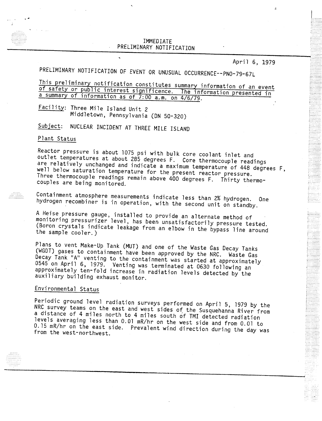## NARY NOT PRELIMINARY NOTIFICATI

April 6, 1979

 $\frac{1}{1}$ --------<br>---------

PRELIMINARY NOTIFICATION OF EVENT OR UNUSUAL OCCURRENCE--PNO-79-67L<br>This preliminary notification constitutes summary information of an event of safety or nublic interest significance. This is commation of an eve **of the state interest significence.** The information presented is a summary of information as of 7:00 a.m. on 4/6/79.

Failution of the Island Unit 2 Middletown, Pennsylvania (ON 50-320)

Subject: NUCLEAR INCIDENT AT THREE MILE ISLAND

## Plant Status

Reactor pressure is about 1075 psi with bulk core coolant inlet and outlet temperatures at about 285 degrees F. Core thermocouple readings are relatively unchanged and indicate a maximum temperature of 448 degrees F, well below saturation temperature for the present reactor pressure. Three thermocouple readings remain above 400 degrees F. Thirty thermocouples are being monitored.

Containment atmosphere measurements indicate less than 2% hydrogen. One hydrogen recombiner is in operation, with the second unit on standby.

A Heise pressure gauge, installed to provide an alternate method of monitoring pressurizer level, has been unsatisfactorily pressure tested. (Boron crystals indicate leakage from an elbow in the bypass line around the sample cooler.)

Plans to vent Make-Up Tank (MUT) and one of the Waste Gas Decay Tanks (WGDT) gases to containment have been approved by the NRC. Waste Gas Decay Tank "A" venting to the containment was started at approximately 0545 on April 6, 1979. Venting was terminated at 0630 following an approximately ten-fold increase in radiation levels detected by the auxiliary building exhaust monitor.

## Environmental Status

Periodic ground level radiation surveys performed on April 5, 1979 by the NRC survey teams on the east and west sides of the Susquehanna River from a distance of 4 miles north to 4 miles south of TMI detected radiation levels averaging less than 0.01 mR/hr on the west side and from 0.01 to 0.15 mR/hr on the east side. Prevalent wind direction during the day was from the west-northwest.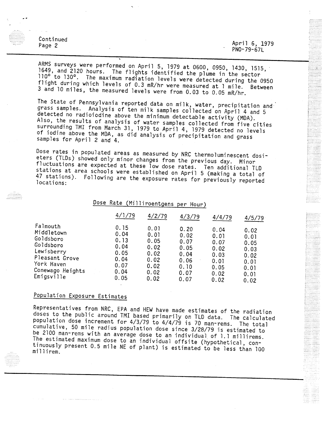Continued April 6, 1979 Page 2 PNO-79-67L Page 2

ARMS surveys were performed on April 5, 1979 at 0600, 0950, 1430, 1515,  $110^{\circ}$  to  $130^{\circ}$ . The maximum radiation lovels  $100^{\circ}$  to  $100^{\circ}$  to  $100^{\circ}$ . The maximum radiation lovels  $100^{\circ}$ . flight during which levels of 0.2  $m/h$  to 130°. The maximum radiation levels were detected during the 09.  $\frac{1}{3}$  and 10 miles the measured lovels vana fuse  $\frac{1}{2}$  and 10 mile. Between  $\sim$   $\sim$   $\sim$   $\sim$   $\sim$   $\sim$   $\sim$  measured levels were from 0.03 to 0.05 mR/h

The State of Pennsylvania reported data on milk, water, precipitation and grass samples. Analysis of ten milk samples collected on April 4 and 5 detected no radioiodine above the minimum detectable activity (MDA). Also, the results of analysis of water samples collected from five cities surrounding TMI from March 31, 1979 to April 4, 1979 detected no levels of iodine above the MDA, as did analysis of precipitation and grass samples for April 2 and 4.

Dose rates in populated areas as measured by NRC thermoluminescent dosieters (TLDs) showed only minor changes from the previous day. Minor fluctuations are expected at these low dose rates. Ten additional TLD stations at area schools were established on April 5 (making a total of 47 stations). Following are the exposure rates for previously reported locations:

Dose Rate (Milliroentgens per Hour)

|                                                                                                                                  | 4/1/79                                                               | 4/2/79                                                               | 4/3/79                                                               | 4/4/79                                                               | 4/5/79                                                               | in the control of the control of the control of the control of the control of the control of the control of the control of the control of the control of the control of the control of the control of the control of the contr |
|----------------------------------------------------------------------------------------------------------------------------------|----------------------------------------------------------------------|----------------------------------------------------------------------|----------------------------------------------------------------------|----------------------------------------------------------------------|----------------------------------------------------------------------|--------------------------------------------------------------------------------------------------------------------------------------------------------------------------------------------------------------------------------|
| Falmouth<br>Middletown<br>Goldsboro<br>Goldsboro<br>Lewisberry<br>Pleasant Grove<br>York Haven<br>Conewago Heights<br>Emigsville | 0.15<br>0.04<br>0.13<br>0.04<br>0.05<br>0.04<br>0.07<br>0.04<br>0.05 | 0.01<br>0.01<br>0.05<br>0.02<br>0.02<br>0.02<br>0.02<br>0.02<br>0.02 | 0.20<br>0.02<br>0.07<br>0.05<br>0.04<br>0.06<br>0.10<br>0.07<br>0.07 | 0.04<br>0.01<br>0.07<br>0.02<br>0.03<br>0.01<br>0.05<br>0.02<br>0.02 | 0.02<br>0.01<br>0.05<br>0.03<br>0.02<br>0.01<br>0.01<br>0.01<br>0.02 | E<br>$\cdots$<br>E<br>$\mathbb{R}^2$<br>$\mathbb{R}^{n \times n}$<br>$\cdots$                                                                                                                                                  |

" .... " -- ...

.......

# Population Exposure Estimates

Representatives from NRC, EPA and HEW have made estimates of the radiation doses to the public around TMI based primarily on TLD data. The calculated population dose increment for 4/3/79 to 4/4/79 is 70 man-rems. The total cumulative, 50 mile radius population dose since 3/28/79 is estimated to be 2100 man-rems with an *average* dose to an individual of 1.1 millirems. The estimated maximum dose to an individual offsite (hypothetical, connuously present 0.5 mile NE of plant) is estimated to be less than 100 llirem.